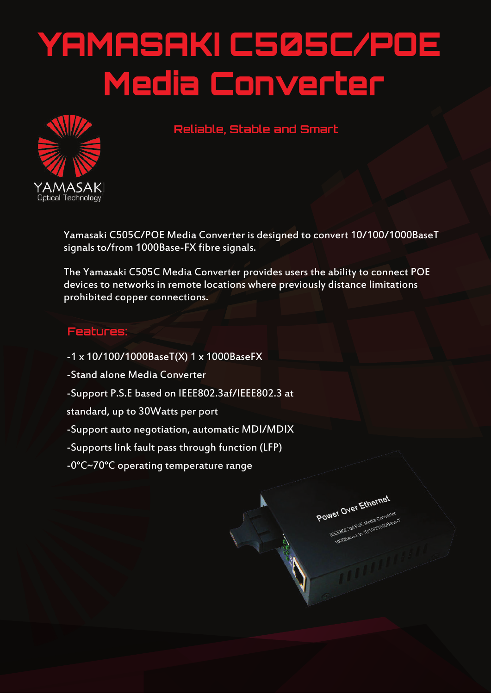# YAMASAKI C505C/POE Media Converter



**Reliable, Stable and Smart** 

Yamasaki C505C/POE Media Converter is designed to convert 10/100/1000BaseT signals to/from 1000Base-FX fibre signals.

The Yamasaki C505C Media Converter provides users the ability to connect POE devices to networks in remote locations where previously distance limitations prohibited copper connections.

Power Over Ethernet

Wer Over Ethis<br>IEEE802.3at PoE Media Converter ET = 23d PoE Media Convertis<br>EEE802.3d PoE Media Convertis<br>1000Base-x to 10/100/1000Base

### **Features:**

-1 x 10/100/1000BaseT(X) 1 x 1000BaseFX

-Stand alone Media Converter

-Support P.S.E based on IEEE802.3af/IEEE802.3 at

standard, up to 30Watts per port

-Support auto negotiation, automatic MDI/MDIX

-Supports link fault pass through function (LFP)

-0°C~70°C operating temperature range